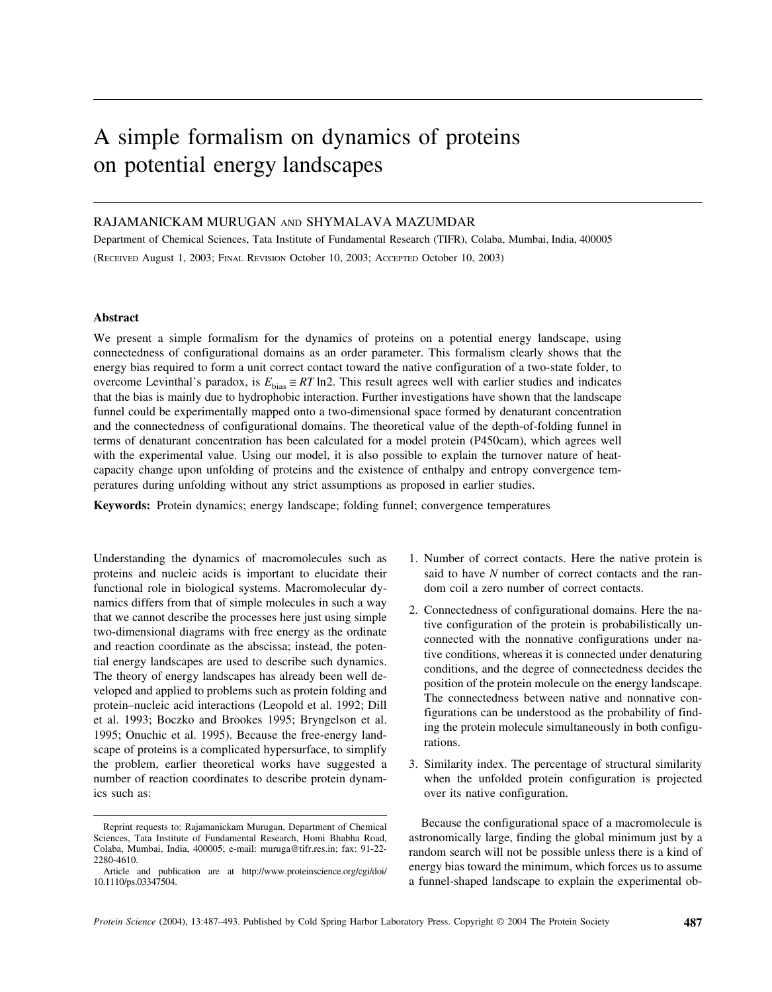# A simple formalism on dynamics of proteins on potential energy landscapes

## RAJAMANICKAM MURUGAN AND SHYMALAVA MAZUMDAR

Department of Chemical Sciences, Tata Institute of Fundamental Research (TIFR), Colaba, Mumbai, India, 400005 (RECEIVED August 1, 2003; FINAL REVISION October 10, 2003; ACCEPTED October 10, 2003)

## **Abstract**

We present a simple formalism for the dynamics of proteins on a potential energy landscape, using connectedness of configurational domains as an order parameter. This formalism clearly shows that the energy bias required to form a unit correct contact toward the native configuration of a two-state folder, to overcome Levinthal's paradox, is  $E_{bias} \cong RT \ln 2$ . This result agrees well with earlier studies and indicates that the bias is mainly due to hydrophobic interaction. Further investigations have shown that the landscape funnel could be experimentally mapped onto a two-dimensional space formed by denaturant concentration and the connectedness of configurational domains. The theoretical value of the depth-of-folding funnel in terms of denaturant concentration has been calculated for a model protein (P450cam), which agrees well with the experimental value. Using our model, it is also possible to explain the turnover nature of heatcapacity change upon unfolding of proteins and the existence of enthalpy and entropy convergence temperatures during unfolding without any strict assumptions as proposed in earlier studies.

**Keywords:** Protein dynamics; energy landscape; folding funnel; convergence temperatures

Understanding the dynamics of macromolecules such as proteins and nucleic acids is important to elucidate their functional role in biological systems. Macromolecular dynamics differs from that of simple molecules in such a way that we cannot describe the processes here just using simple two-dimensional diagrams with free energy as the ordinate and reaction coordinate as the abscissa; instead, the potential energy landscapes are used to describe such dynamics. The theory of energy landscapes has already been well developed and applied to problems such as protein folding and protein–nucleic acid interactions (Leopold et al. 1992; Dill et al. 1993; Boczko and Brookes 1995; Bryngelson et al. 1995; Onuchic et al. 1995). Because the free-energy landscape of proteins is a complicated hypersurface, to simplify the problem, earlier theoretical works have suggested a number of reaction coordinates to describe protein dynamics such as:

- 1. Number of correct contacts. Here the native protein is said to have *N* number of correct contacts and the random coil a zero number of correct contacts.
- 2. Connectedness of configurational domains. Here the native configuration of the protein is probabilistically unconnected with the nonnative configurations under native conditions, whereas it is connected under denaturing conditions, and the degree of connectedness decides the position of the protein molecule on the energy landscape. The connectedness between native and nonnative configurations can be understood as the probability of finding the protein molecule simultaneously in both configurations.
- 3. Similarity index. The percentage of structural similarity when the unfolded protein configuration is projected over its native configuration.

Because the configurational space of a macromolecule is astronomically large, finding the global minimum just by a random search will not be possible unless there is a kind of energy bias toward the minimum, which forces us to assume a funnel-shaped landscape to explain the experimental ob-

Reprint requests to: Rajamanickam Murugan, Department of Chemical Sciences, Tata Institute of Fundamental Research, Homi Bhabha Road, Colaba, Mumbai, India, 400005; e-mail: muruga@tifr.res.in; fax: 91-22- 2280-4610.

Article and publication are at http://www.proteinscience.org/cgi/doi/ 10.1110/ps.03347504.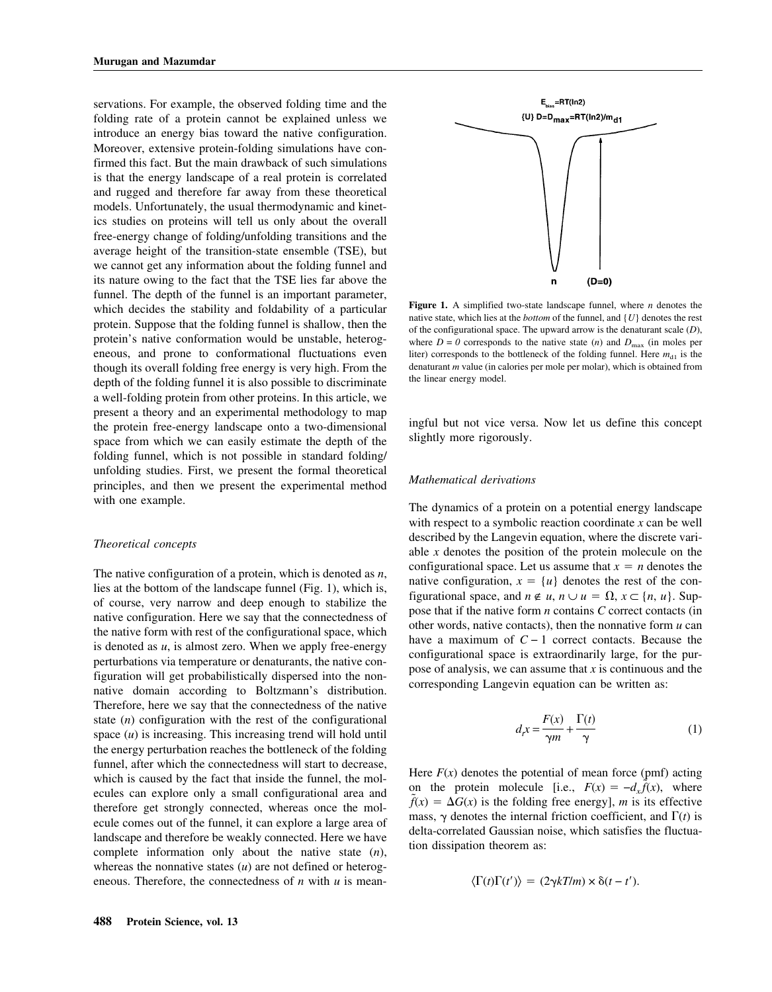servations. For example, the observed folding time and the folding rate of a protein cannot be explained unless we introduce an energy bias toward the native configuration. Moreover, extensive protein-folding simulations have confirmed this fact. But the main drawback of such simulations is that the energy landscape of a real protein is correlated and rugged and therefore far away from these theoretical models. Unfortunately, the usual thermodynamic and kinetics studies on proteins will tell us only about the overall free-energy change of folding/unfolding transitions and the average height of the transition-state ensemble (TSE), but we cannot get any information about the folding funnel and its nature owing to the fact that the TSE lies far above the funnel. The depth of the funnel is an important parameter, which decides the stability and foldability of a particular protein. Suppose that the folding funnel is shallow, then the protein's native conformation would be unstable, heterogeneous, and prone to conformational fluctuations even though its overall folding free energy is very high. From the depth of the folding funnel it is also possible to discriminate a well-folding protein from other proteins. In this article, we present a theory and an experimental methodology to map the protein free-energy landscape onto a two-dimensional space from which we can easily estimate the depth of the folding funnel, which is not possible in standard folding/ unfolding studies. First, we present the formal theoretical principles, and then we present the experimental method with one example.

## *Theoretical concepts*

The native configuration of a protein, which is denoted as *n*, lies at the bottom of the landscape funnel (Fig. 1), which is, of course, very narrow and deep enough to stabilize the native configuration. Here we say that the connectedness of the native form with rest of the configurational space, which is denoted as *u*, is almost zero. When we apply free-energy perturbations via temperature or denaturants, the native configuration will get probabilistically dispersed into the nonnative domain according to Boltzmann's distribution. Therefore, here we say that the connectedness of the native state (*n*) configuration with the rest of the configurational space (*u*) is increasing. This increasing trend will hold until the energy perturbation reaches the bottleneck of the folding funnel, after which the connectedness will start to decrease, which is caused by the fact that inside the funnel, the molecules can explore only a small configurational area and therefore get strongly connected, whereas once the molecule comes out of the funnel, it can explore a large area of landscape and therefore be weakly connected. Here we have complete information only about the native state (*n*), whereas the nonnative states (*u*) are not defined or heterogeneous. Therefore, the connectedness of *n* with *u* is mean-



**Figure 1.** A simplified two-state landscape funnel, where *n* denotes the native state, which lies at the *bottom* of the funnel, and {*U*} denotes the rest of the configurational space. The upward arrow is the denaturant scale (*D*), where  $D = 0$  corresponds to the native state (*n*) and  $D_{\text{max}}$  (in moles per liter) corresponds to the bottleneck of the folding funnel. Here  $m_{d1}$  is the denaturant *m* value (in calories per mole per molar), which is obtained from the linear energy model.

ingful but not vice versa. Now let us define this concept slightly more rigorously.

## *Mathematical derivations*

The dynamics of a protein on a potential energy landscape with respect to a symbolic reaction coordinate *x* can be well described by the Langevin equation, where the discrete variable *x* denotes the position of the protein molecule on the configurational space. Let us assume that  $x = n$  denotes the native configuration,  $x = \{u\}$  denotes the rest of the configurational space, and  $n \notin u$ ,  $n \cup u = \Omega$ ,  $x \subset \{n, u\}$ . Suppose that if the native form *n* contains *C* correct contacts (in other words, native contacts), then the nonnative form *u* can have a maximum of  $C - 1$  correct contacts. Because the configurational space is extraordinarily large, for the purpose of analysis, we can assume that *x* is continuous and the corresponding Langevin equation can be written as:

$$
d_{t}x = \frac{F(x)}{\gamma m} + \frac{\Gamma(t)}{\gamma}
$$
 (1)

Here  $F(x)$  denotes the potential of mean force (pmf) acting on the protein molecule [i.e.,  $F(x) = -d_x \tilde{f}(x)$ , where  $\tilde{f}(x) = \Delta G(x)$  is the folding free energy], *m* is its effective mass,  $\gamma$  denotes the internal friction coefficient, and  $\Gamma(t)$  is delta-correlated Gaussian noise, which satisfies the fluctuation dissipation theorem as:

$$
\langle \Gamma(t)\Gamma(t')\rangle = (2\gamma kT/m) \times \delta(t-t').
$$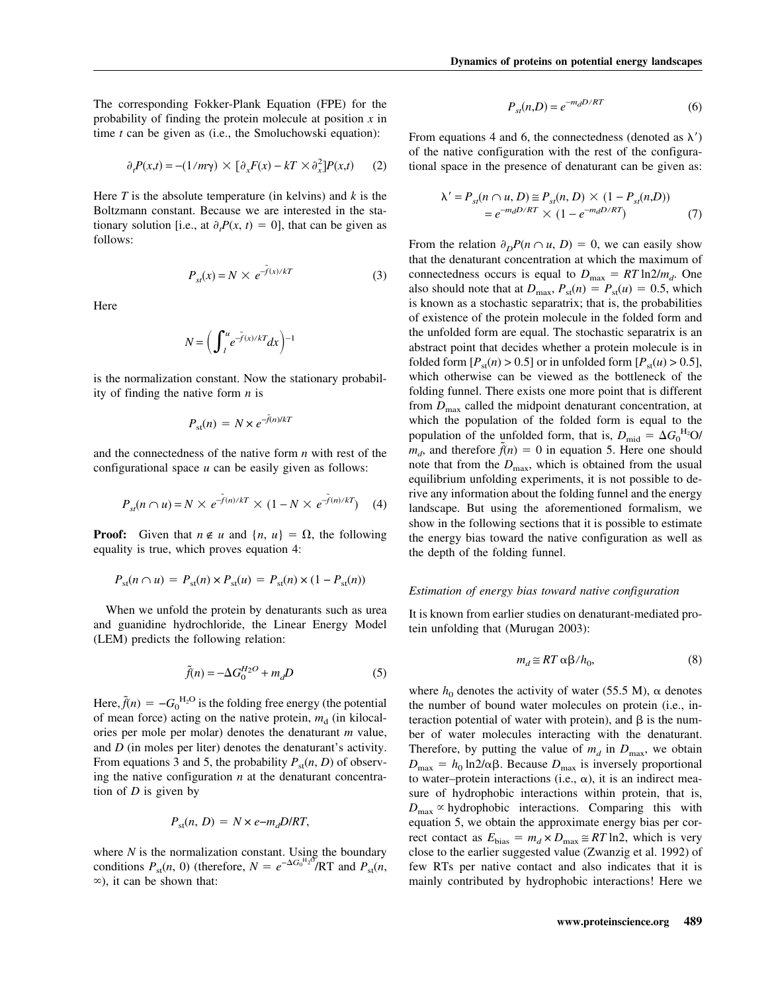The corresponding Fokker-Plank Equation (FPE) for the probability of finding the protein molecule at position *x* in time *t* can be given as (i.e., the Smoluchowski equation):

$$
\partial_t P(x,t) = -(1/m\gamma) \times [\partial_x F(x) - kT \times \partial_x^2] P(x,t) \qquad (2)
$$

Here *T* is the absolute temperature (in kelvins) and *k* is the Boltzmann constant. Because we are interested in the stationary solution [i.e., at  $\partial_t P(x, t) = 0$ ], that can be given as follows:

$$
P_{st}(x) = N \times e^{-\tilde{f}(x)/kT}
$$
 (3)

Here

$$
N = \left(\int_{l}^{u} e^{-\tilde{f}(x)/kT} dx\right)^{-1}
$$

is the normalization constant. Now the stationary probability of finding the native form *n* is

$$
P_{\rm st}(n) = N \times e^{-\tilde{f}(n)/kT}
$$

and the connectedness of the native form *n* with rest of the configurational space *u* can be easily given as follows:

$$
P_{st}(n \cap u) = N \times e^{-\tilde{f}(n)/kT} \times (1 - N \times e^{-\tilde{f}(n)/kT}) \tag{4}
$$

**Proof:** Given that  $n \notin u$  and  $\{n, u\} = \Omega$ , the following equality is true, which proves equation 4:

$$
P_{\rm st}(n \cap u) = P_{\rm st}(n) \times P_{\rm st}(u) = P_{\rm st}(n) \times (1 - P_{\rm st}(n))
$$

When we unfold the protein by denaturants such as urea and guanidine hydrochloride, the Linear Energy Model (LEM) predicts the following relation:

$$
\tilde{f}(n) = -\Delta G_0^{H_2O} + m_d D \tag{5}
$$

Here,  $\tilde{f}(n) = -G_0^{\text{H}_2\text{O}}$  is the folding free energy (the potential of mean force) acting on the native protein,  $m_d$  (in kilocalories per mole per molar) denotes the denaturant *m* value, and *D* (in moles per liter) denotes the denaturant's activity. From equations 3 and 5, the probability  $P_{st}(n, D)$  of observing the native configuration *n* at the denaturant concentration of *D* is given by

$$
P_{\rm st}(n, D) = N \times e^{-m_d} D/RT,
$$

where *N* is the normalization constant. Using the boundary conditions  $P_{\text{st}}(n, 0)$  (therefore,  $N = e^{-\Delta G_0^{H_2}\delta} / RT$  and  $P_{\text{st}}(n, 0)$  $\infty$ ), it can be shown that:

$$
P_{st}(n,D) = e^{-m_d D/RT} \tag{6}
$$

From equations 4 and 6, the connectedness (denoted as  $\lambda'$ ) of the native configuration with the rest of the configurational space in the presence of denaturant can be given as:

$$
\lambda' = P_{st}(n \cap u, D) \cong P_{st}(n, D) \times (1 - P_{st}(n, D))
$$
  
=  $e^{-m_d D/RT} \times (1 - e^{-m_d D/RT})$  (7)

From the relation  $\partial_D P(n \cap u, D) = 0$ , we can easily show that the denaturant concentration at which the maximum of connectedness occurs is equal to  $D_{\text{max}} = RT \ln 2/m_d$ . One also should note that at  $D_{\text{max}}$ ,  $P_{\text{st}}(n) = P_{\text{st}}(u) = 0.5$ , which is known as a stochastic separatrix; that is, the probabilities of existence of the protein molecule in the folded form and the unfolded form are equal. The stochastic separatrix is an abstract point that decides whether a protein molecule is in folded form  $[P_{st}(n) > 0.5]$  or in unfolded form  $[P_{st}(u) > 0.5]$ , which otherwise can be viewed as the bottleneck of the folding funnel. There exists one more point that is different from  $D_{\text{max}}$  called the midpoint denaturant concentration, at which the population of the folded form is equal to the population of the unfolded form, that is,  $D_{\text{mid}} = \Delta G_0^{\text{H}_2}\text{O}/$  $m_d$ , and therefore  $\tilde{f}(n) = 0$  in equation 5. Here one should note that from the  $D_{\text{max}}$ , which is obtained from the usual equilibrium unfolding experiments, it is not possible to derive any information about the folding funnel and the energy landscape. But using the aforementioned formalism, we show in the following sections that it is possible to estimate the energy bias toward the native configuration as well as the depth of the folding funnel.

#### *Estimation of energy bias toward native configuration*

It is known from earlier studies on denaturant-mediated protein unfolding that (Murugan 2003):

$$
m_d \cong RT \alpha \beta / h_0,\tag{8}
$$

where  $h_0$  denotes the activity of water (55.5 M),  $\alpha$  denotes the number of bound water molecules on protein (i.e., interaction potential of water with protein), and  $\beta$  is the number of water molecules interacting with the denaturant. Therefore, by putting the value of  $m_d$  in  $D_{\text{max}}$ , we obtain  $D_{\text{max}} = h_0 \ln 2/\alpha \beta$ . Because  $D_{\text{max}}$  is inversely proportional to water–protein interactions (i.e.,  $\alpha$ ), it is an indirect measure of hydrophobic interactions within protein, that is,  $D_{\text{max}} \propto$  hydrophobic interactions. Comparing this with equation 5, we obtain the approximate energy bias per correct contact as  $E_{bias} = m_d \times D_{max} \approx RT \ln 2$ , which is very close to the earlier suggested value (Zwanzig et al. 1992) of few RTs per native contact and also indicates that it is mainly contributed by hydrophobic interactions! Here we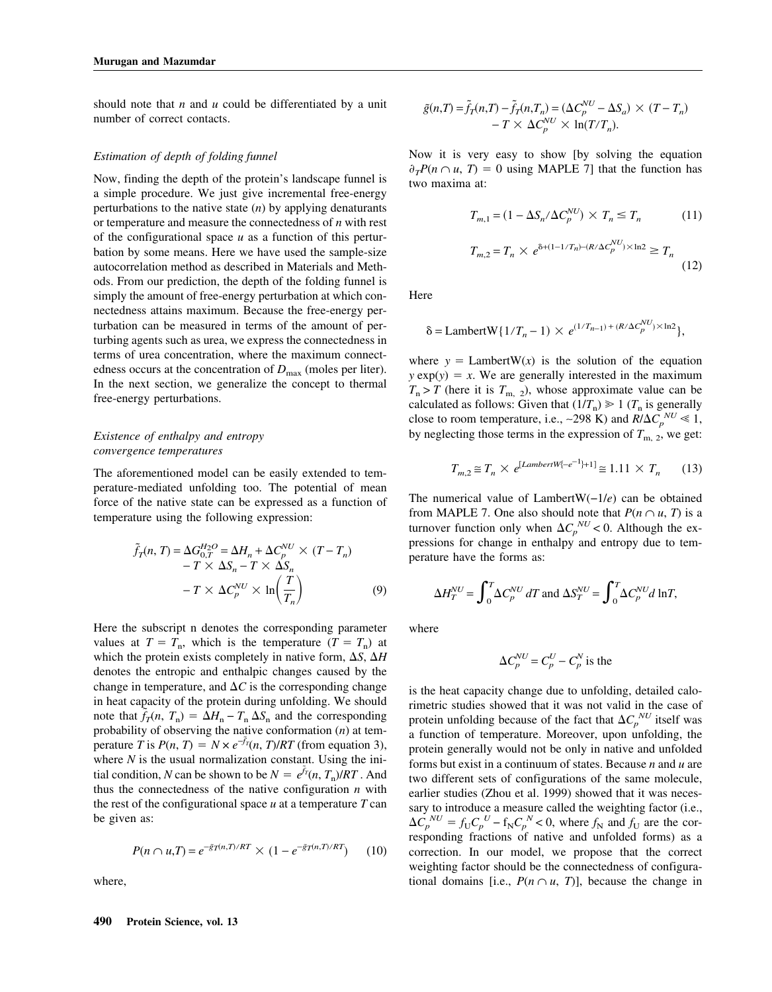should note that *n* and *u* could be differentiated by a unit number of correct contacts.

## *Estimation of depth of folding funnel*

Now, finding the depth of the protein's landscape funnel is a simple procedure. We just give incremental free-energy perturbations to the native state (*n*) by applying denaturants or temperature and measure the connectedness of *n* with rest of the configurational space *u* as a function of this perturbation by some means. Here we have used the sample-size autocorrelation method as described in Materials and Methods. From our prediction, the depth of the folding funnel is simply the amount of free-energy perturbation at which connectedness attains maximum. Because the free-energy perturbation can be measured in terms of the amount of perturbing agents such as urea, we express the connectedness in terms of urea concentration, where the maximum connectedness occurs at the concentration of  $D_{\text{max}}$  (moles per liter). In the next section, we generalize the concept to thermal free-energy perturbations.

## *Existence of enthalpy and entropy convergence temperatures*

The aforementioned model can be easily extended to temperature-mediated unfolding too. The potential of mean force of the native state can be expressed as a function of temperature using the following expression:

$$
\tilde{f}_T(n, T) = \Delta G_{0,T}^{H_2O} = \Delta H_n + \Delta C_p^{NU} \times (T - T_n)
$$
  
-T \times \Delta S\_n - T \times \Delta S\_n  
-T \times \Delta C\_p^{NU} \times \ln \left( \frac{T}{T\_n} \right) (9)

Here the subscript n denotes the corresponding parameter values at  $T = T_n$ , which is the temperature  $(T = T_n)$  at which the protein exists completely in native form,  $\Delta S$ ,  $\Delta H$ denotes the entropic and enthalpic changes caused by the change in temperature, and  $\Delta C$  is the corresponding change in heat capacity of the protein during unfolding. We should note that  $\tilde{f}_T(n, T_n) = \Delta H_n - T_n \Delta S_n$  and the corresponding probability of observing the native conformation (*n*) at temperature *T* is  $P(n, T) = N \times e^{-\tilde{f}_T}(n, T)/RT$  (from equation 3), where *N* is the usual normalization constant. Using the initial condition, *N* can be shown to be  $N = e^{\tilde{f}_T}(n, T_n)/RT$ . And thus the connectedness of the native configuration *n* with the rest of the configurational space  $u$  at a temperature  $T$  can be given as:

$$
P(n \cap u, T) = e^{-\tilde{g}T(n,T)/RT} \times (1 - e^{-\tilde{g}T(n,T)/RT}) \qquad (10)
$$

where,

$$
\tilde{g}(n,T) = \tilde{f}_T(n,T) - \tilde{f}_T(n,T_n) = (\Delta C_p^{NU} - \Delta S_a) \times (T - T_n) - T \times \Delta C_p^{NU} \times \ln(T/T_n).
$$

Now it is very easy to show [by solving the equation  $\partial_T P(n \cap u, T) = 0$  using MAPLE 7] that the function has two maxima at:

$$
T_{m,1} = (1 - \Delta S_n / \Delta C_p^{NU}) \times T_n \le T_n
$$
\n
$$
T_{m,2} = T_n \times e^{\delta + (1 - 1/T_n) - (R/\Delta C_p^{NU}) \times \ln 2} \ge T_n
$$
\n(12)

Here

$$
\delta = \text{LambertW}\{1/T_n - 1) \times e^{(1/T_{n-1}) + (R/\Delta C_p^{NU}) \times \ln 2}\},
$$

where  $y =$  LambertW(*x*) is the solution of the equation  $y \exp(y) = x$ . We are generally interested in the maximum  $T_n$  > *T* (here it is  $T_{m-2}$ ), whose approximate value can be calculated as follows: Given that  $(1/T_n) \ge 1$  ( $T_n$  is generally close to room temperature, i.e., ~298 K) and  $R/\Delta C_p^{NU} \ll 1$ , by neglecting those terms in the expression of  $T_{\text{m, 2}}$ , we get:

$$
T_{m,2} \cong T_n \times e^{[LambertW[-e^{-1}]+1]} \cong 1.11 \times T_n \tag{13}
$$

The numerical value of LambertW(−1/*e*) can be obtained from MAPLE 7. One also should note that  $P(n \cap u, T)$  is a turnover function only when  $\Delta C_p^{NU}$  < 0. Although the expressions for change in enthalpy and entropy due to temperature have the forms as:

$$
\Delta H_T^{NU} = \int_0^T \Delta C_p^{NU} dT
$$
 and 
$$
\Delta S_T^{NU} = \int_0^T \Delta C_p^{NU} d \ln T,
$$

where

$$
\Delta C_p^{NU} = C_p^U - C_p^N
$$
 is the

is the heat capacity change due to unfolding, detailed calorimetric studies showed that it was not valid in the case of protein unfolding because of the fact that  $\Delta C_p^{NU}$  itself was a function of temperature. Moreover, upon unfolding, the protein generally would not be only in native and unfolded forms but exist in a continuum of states. Because *n* and *u* are two different sets of configurations of the same molecule, earlier studies (Zhou et al. 1999) showed that it was necessary to introduce a measure called the weighting factor (i.e.,  $\Delta C_p^{NU} = f_U C_p^{U} - f_N C_p^{N} < 0$ , where  $f_N$  and  $f_U$  are the corresponding fractions of native and unfolded forms) as a correction. In our model, we propose that the correct weighting factor should be the connectedness of configurational domains [i.e.,  $P(n \cap u, T)$ ], because the change in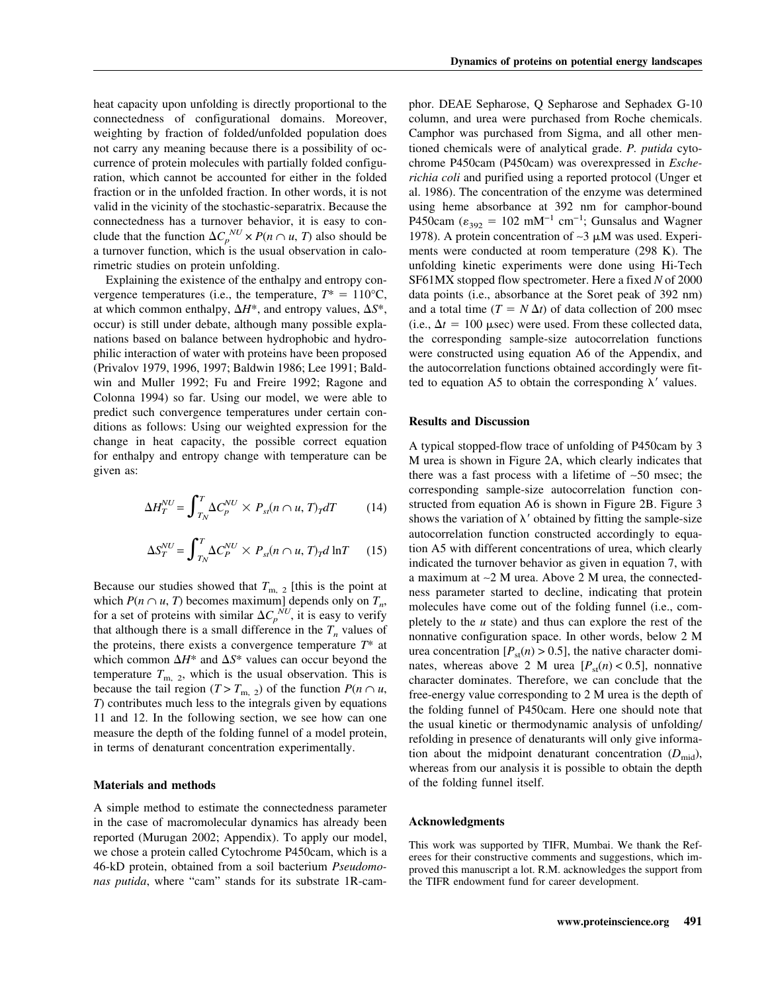heat capacity upon unfolding is directly proportional to the connectedness of configurational domains. Moreover, weighting by fraction of folded/unfolded population does not carry any meaning because there is a possibility of occurrence of protein molecules with partially folded configuration, which cannot be accounted for either in the folded fraction or in the unfolded fraction. In other words, it is not valid in the vicinity of the stochastic-separatrix. Because the connectedness has a turnover behavior, it is easy to conclude that the function  $\Delta C_p^{NU} \times P(n \cap u, T)$  also should be a turnover function, which is the usual observation in calorimetric studies on protein unfolding.

Explaining the existence of the enthalpy and entropy convergence temperatures (i.e., the temperature,  $T^* = 110^{\circ}\text{C}$ , at which common enthalpy,  $\Delta H^*$ , and entropy values,  $\Delta S^*$ , occur) is still under debate, although many possible explanations based on balance between hydrophobic and hydrophilic interaction of water with proteins have been proposed (Privalov 1979, 1996, 1997; Baldwin 1986; Lee 1991; Baldwin and Muller 1992; Fu and Freire 1992; Ragone and Colonna 1994) so far. Using our model, we were able to predict such convergence temperatures under certain conditions as follows: Using our weighted expression for the change in heat capacity, the possible correct equation for enthalpy and entropy change with temperature can be given as:

$$
\Delta H_T^{NU} = \int_{T_N}^{T} \Delta C_p^{NU} \times P_{st}(n \cap u, T)_T dT \tag{14}
$$

$$
\Delta S_T^{NU} = \int_{T_N}^{T} \Delta C_P^{NU} \times P_{st}(n \cap u, T)_T d \ln T \qquad (15)
$$

Because our studies showed that  $T_{\text{m, 2}}$  [this is the point at which  $P(n \cap u, T)$  becomes maximum] depends only on  $T_n$ , for a set of proteins with similar  $\Delta C_p^{N U}$ , it is easy to verify that although there is a small difference in the  $T<sub>n</sub>$  values of the proteins, there exists a convergence temperature *T*\* at which common  $\Delta H^*$  and  $\Delta S^*$  values can occur beyond the temperature  $T_{\text{m, 2}}$ , which is the usual observation. This is because the tail region (*T* > *T*<sub>m, 2</sub>) of the function  $P(n \cap u,$ *T*) contributes much less to the integrals given by equations 11 and 12. In the following section, we see how can one measure the depth of the folding funnel of a model protein, in terms of denaturant concentration experimentally.

#### **Materials and methods**

A simple method to estimate the connectedness parameter in the case of macromolecular dynamics has already been reported (Murugan 2002; Appendix). To apply our model, we chose a protein called Cytochrome P450cam, which is a 46-kD protein, obtained from a soil bacterium *Pseudomonas putida*, where "cam" stands for its substrate 1R-camphor. DEAE Sepharose, Q Sepharose and Sephadex G-10 column, and urea were purchased from Roche chemicals. Camphor was purchased from Sigma, and all other mentioned chemicals were of analytical grade. *P. putida* cytochrome P450cam (P450cam) was overexpressed in *Escherichia coli* and purified using a reported protocol (Unger et al. 1986). The concentration of the enzyme was determined using heme absorbance at 392 nm for camphor-bound P450cam ( $\varepsilon_{392}$  = 102 mM<sup>-1</sup> cm<sup>-1</sup>; Gunsalus and Wagner 1978). A protein concentration of ∼3 μM was used. Experiments were conducted at room temperature (298 K). The unfolding kinetic experiments were done using Hi-Tech SF61MX stopped flow spectrometer. Here a fixed *N* of 2000 data points (i.e., absorbance at the Soret peak of 392 nm) and a total time  $(T = N \Delta t)$  of data collection of 200 msec (i.e.,  $\Delta t = 100$  µsec) were used. From these collected data, the corresponding sample-size autocorrelation functions were constructed using equation A6 of the Appendix, and the autocorrelation functions obtained accordingly were fitted to equation A5 to obtain the corresponding  $\lambda'$  values.

## **Results and Discussion**

A typical stopped-flow trace of unfolding of P450cam by 3 M urea is shown in Figure 2A, which clearly indicates that there was a fast process with a lifetime of ∼50 msec; the corresponding sample-size autocorrelation function constructed from equation A6 is shown in Figure 2B. Figure 3 shows the variation of  $\lambda'$  obtained by fitting the sample-size autocorrelation function constructed accordingly to equation A5 with different concentrations of urea, which clearly indicated the turnover behavior as given in equation 7, with a maximum at ∼2 M urea. Above 2 M urea, the connectedness parameter started to decline, indicating that protein molecules have come out of the folding funnel (i.e., completely to the *u* state) and thus can explore the rest of the nonnative configuration space. In other words, below 2 M urea concentration  $[P_{st}(n) > 0.5]$ , the native character dominates, whereas above 2 M urea  $[P_{st}(n) < 0.5]$ , nonnative character dominates. Therefore, we can conclude that the free-energy value corresponding to 2 M urea is the depth of the folding funnel of P450cam. Here one should note that the usual kinetic or thermodynamic analysis of unfolding/ refolding in presence of denaturants will only give information about the midpoint denaturant concentration  $(D_{mid})$ , whereas from our analysis it is possible to obtain the depth of the folding funnel itself.

#### **Acknowledgments**

This work was supported by TIFR, Mumbai. We thank the Referees for their constructive comments and suggestions, which improved this manuscript a lot. R.M. acknowledges the support from the TIFR endowment fund for career development.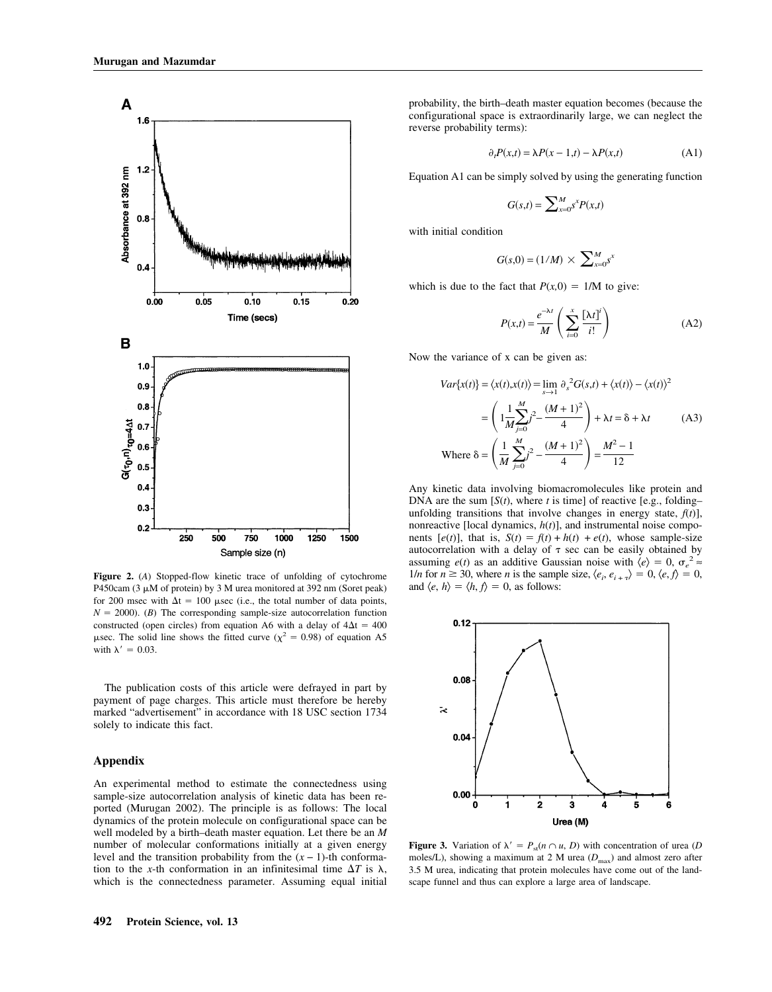

**Figure 2.** (*A*) Stopped-flow kinetic trace of unfolding of cytochrome P450cam (3  $\mu$ M of protein) by 3 M urea monitored at 392 nm (Soret peak) for 200 msec with  $\Delta t = 100$  usec (i.e., the total number of data points,  $N = 2000$ . (*B*) The corresponding sample-size autocorrelation function constructed (open circles) from equation A6 with a delay of  $4\Delta t = 400$  $\mu$ sec. The solid line shows the fitted curve ( $\chi^2 = 0.98$ ) of equation A5 with  $\lambda' = 0.03$ .

The publication costs of this article were defrayed in part by payment of page charges. This article must therefore be hereby marked "advertisement" in accordance with 18 USC section 1734 solely to indicate this fact.

## **Appendix**

An experimental method to estimate the connectedness using sample-size autocorrelation analysis of kinetic data has been reported (Murugan 2002). The principle is as follows: The local dynamics of the protein molecule on configurational space can be well modeled by a birth–death master equation. Let there be an *M* number of molecular conformations initially at a given energy level and the transition probability from the  $(x - 1)$ -th conformation to the *x*-th conformation in an infinitesimal time  $\Delta T$  is  $\lambda$ , which is the connectedness parameter. Assuming equal initial probability, the birth–death master equation becomes (because the configurational space is extraordinarily large, we can neglect the reverse probability terms):

$$
\partial_t P(x,t) = \lambda P(x-1,t) - \lambda P(x,t) \tag{A1}
$$

Equation A1 can be simply solved by using the generating function

$$
G(s,t) = \sum_{x=0}^{M} s^x P(x,t)
$$

with initial condition

$$
G(s,0) = (1/M) \times \sum_{x=0}^{M} s^x
$$

which is due to the fact that  $P(x,0) = 1/M$  to give:

$$
P(x,t) = \frac{e^{-\lambda t}}{M} \left( \sum_{i=0}^{x} \frac{[\lambda t]^i}{i!} \right)
$$
 (A2)

Now the variance of x can be given as:

$$
Var{x(t)} = \langle x(t), x(t) \rangle = \lim_{s \to 1} \partial_s^2 G(s, t) + \langle x(t) \rangle - \langle x(t) \rangle^2
$$
  
= 
$$
\left(1 \frac{1}{M} \sum_{j=0}^{M} j^2 - \frac{(M+1)^2}{4} \right) + \lambda t = \delta + \lambda t
$$
 (A3)  
Where 
$$
\delta = \left(\frac{1}{M} \sum_{j=0}^{M} j^2 - \frac{(M+1)^2}{4} \right) = \frac{M^2 - 1}{12}
$$

Any kinetic data involving biomacromolecules like protein and DNA are the sum  $[S(t)]$ , where *t* is time] of reactive [e.g., folding– unfolding transitions that involve changes in energy state,  $f(t)$ ], nonreactive [local dynamics, *h*(*t*)], and instrumental noise components  $[e(t)]$ , that is,  $S(t) = f(t) + h(t) + e(t)$ , whose sample-size autocorrelation with a delay of  $\tau$  sec can be easily obtained by assuming *e*(*t*) as an additive Gaussian noise with  $\langle e \rangle = 0$ ,  $\sigma_e^2 \approx$ 1/*n* for  $n \ge 30$ , where *n* is the sample size,  $\langle e_i, e_{i+\tau} \rangle = 0, \langle e, f \rangle = 0$ , and  $\langle e, h \rangle = \langle h, f \rangle = 0$ , as follows:



**Figure 3.** Variation of  $\lambda' = P_{st}(n \cap u, D)$  with concentration of urea (*D*) moles/L), showing a maximum at 2 M urea ( $D_{\text{max}}$ ) and almost zero after 3.5 M urea, indicating that protein molecules have come out of the landscape funnel and thus can explore a large area of landscape.